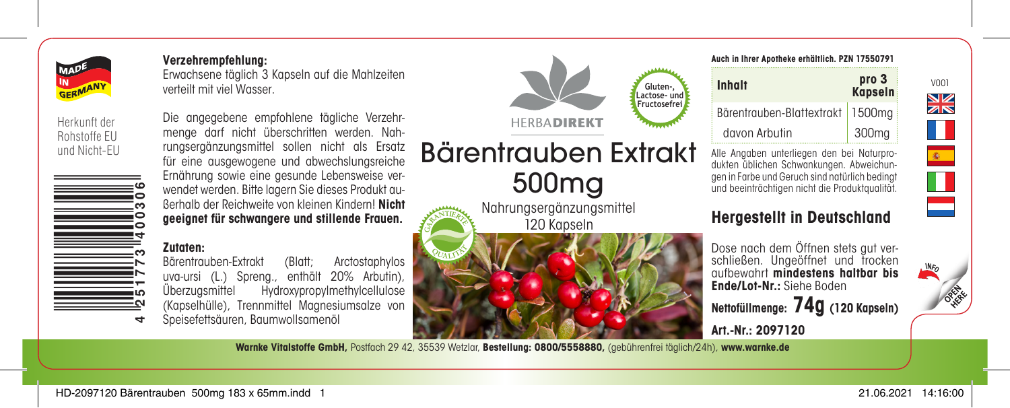

#### Verzehrempfehlung:

Erwachsene täglich 3 Kapseln auf die Mahlzeiten verteilt mit viel Wasser.

Herkunft der Rohstoffe EU und Nicht-EU



#### Zutaten:

Bärentrauben-Extrakt (Blatt; Arctostaphylos uva-ursi (L.) Spreng., enthält 20% Arbutin), Hydroxypropylmethylcellulose (Kapselhülle), Trennmittel Magnesiumsalze von Speisefettsäuren, Baumwollsamenöl **Artistikus Art.-Nr.: 2097120** 



# Bärentrauben Extrakt

# 500mg

Nahrungsergänzungsmittel 120 Kapseln



gen in Farbe und Geruch sind natürlich bedingt und beeinträchtigen nicht die Produktqualität.

Auch in Ihrer Apotheke erhältlich. PZN 17550791

## Hergestellt in Deutschland

Dose nach dem Öffnen stets gut ver- schließen. Ungeöffnet und trocken aufbewahrt mindestens haltbar bis Ende/Lot-Nr.: Siehe Boden

Nettofüllmenge: 74g (120 Kapseln)



Warnke Vitalstoffe GmbH, Postfach 29 42, 35539 Wetzlar, Bestellung: 0800/5558880, (gebührenfrei täglich/24h), www.warnke.de

 $\frac{1}{2}$ **<sup>Q</sup>UALITÄ<sup>T</sup>**



V001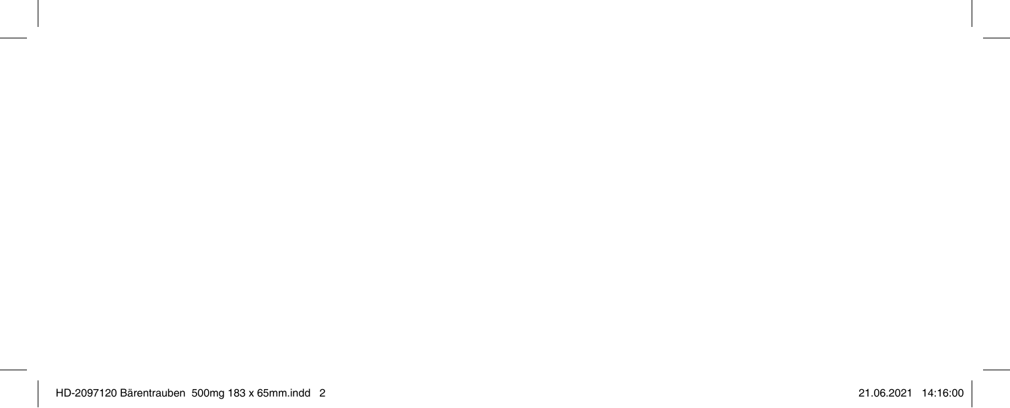HD-2097120 Bärentrauben 500mg 183 x 65mm.indd 2 21.06.2021 14:16:00

 $\frac{1}{2} \left( \frac{1}{2} \right) \left( \frac{1}{2} \right) \left( \frac{1}{2} \right) \left( \frac{1}{2} \right) \left( \frac{1}{2} \right) \left( \frac{1}{2} \right) \left( \frac{1}{2} \right) \left( \frac{1}{2} \right) \left( \frac{1}{2} \right) \left( \frac{1}{2} \right) \left( \frac{1}{2} \right) \left( \frac{1}{2} \right) \left( \frac{1}{2} \right) \left( \frac{1}{2} \right) \left( \frac{1}{2} \right) \left( \frac{1}{2} \right) \left( \frac$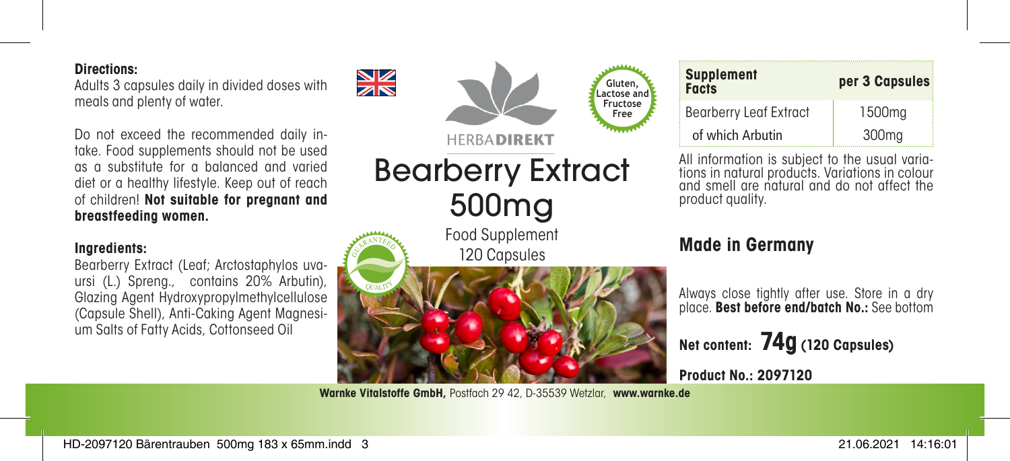### Directions:

Adults 3 capsules daily in divided doses with meals and plenty of water.

Do not exceed the recommended daily intake. Food supplements should not be used as a substitute for a balanced and varied diet or a healthy lifestyle. Keep out of reach of children! Not suitable for pregnant and breastfeeding women.

#### Ingredients:

Bearberry Extract (Leaf; Arctostaphylos uvaursi (L.) Spreng., contains 20% Arbutin), Glazing Agent Hydroxypropylmethylcellulose (Capsule Shell), Anti-Caking Agent Magnesium Salts of Fatty Acids, Cottonseed Oil

## <u>NK</u> **Gluten, Lactose and Fructose Free HFRRADIREKT** Bearberry Extract 500mg Food Supplement 120 Capsules

| <b>Supplement</b><br><b>Facts</b> | per 3 Capsules     |
|-----------------------------------|--------------------|
| <b>Bearberry Leaf Extract</b>     | 1500 <sub>mg</sub> |
| of which Arbutin                  | 300 <sub>mg</sub>  |

All information is subject to the usual varia-<br>tions in natural products. Variations in colour<br>and smell are natural and do not affect the product quality.

## **Made in Germany**

Always close tightly after use. Store in a dry<br>place. **Best before end/batch No.:** See bottom

Net content: 74g (120 Capsules)

Product No.: 2097120

Warnke Vitalstoffe GmbH, Postfach 29 42, D-35539 Wetzlar, www.warnke.de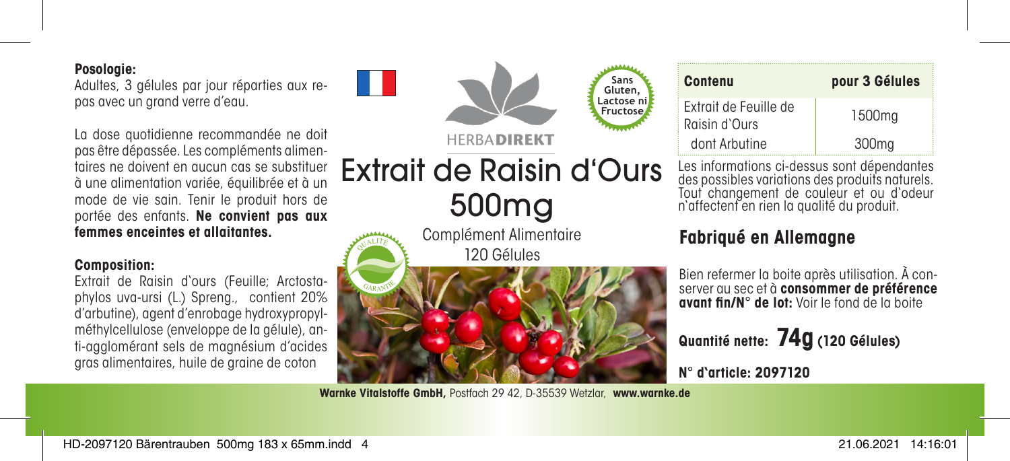#### Posologie:

Adultes, 3 gélules par jour réparties aux repas avec un grand verre d'eau.

La dose quotidienne recommandée ne doit pas être dépassée. Les compléments alimentaires ne doivent en aucun cas se substituer à une alimentation variée, équilibrée et à un mode de vie sain. Tenir le produit hors de portée des enfants. Ne convient pas aux femmes enceintes et allaitantes.

#### Composition:

Extrait de Raisin d'ours (Feuille; Arctostaphylos uva-ursi (L.) Spreng., contient 20% d'arbutine), agent d'enrobage hydroxypropylméthylcellulose (enveloppe de la gélule), anti-agglomérant sels de magnésium d'acides gras alimentaires, huile de graine de coton

# **HFRRADIREKT** Extrait de Raisin d'Ours 500mg

an d

Complément Alimentaire 120 Gélules

**Sans Gluten, Lactose ni Fructose**



Warnke Vitalstoffe GmbH, Postfach 29 42, D-35539 Wetzlar, www.warnke.de

| <b>Contenu</b>                         | pour 3 Gélules     |
|----------------------------------------|--------------------|
| Extrait de Feuille de<br>Raisin d'Ours | 1500 <sub>ma</sub> |
| dont Arbutine                          | 300 <sub>mg</sub>  |

Les informations ci-dessus sont dépendantes des possibles variations des produits naturels. Tout changement de couleur et ou d'odeur n'affectent en rien la qualité du produit.

## Fabriaué en Allemagne

Bien refermer la boite après utilisation. À con- server au sec et à consommer de préférence avant fin/N° de lot: Voir le fond de la boite

Quantité nette: 74g (120 Gélules)

N° d'article: 2097120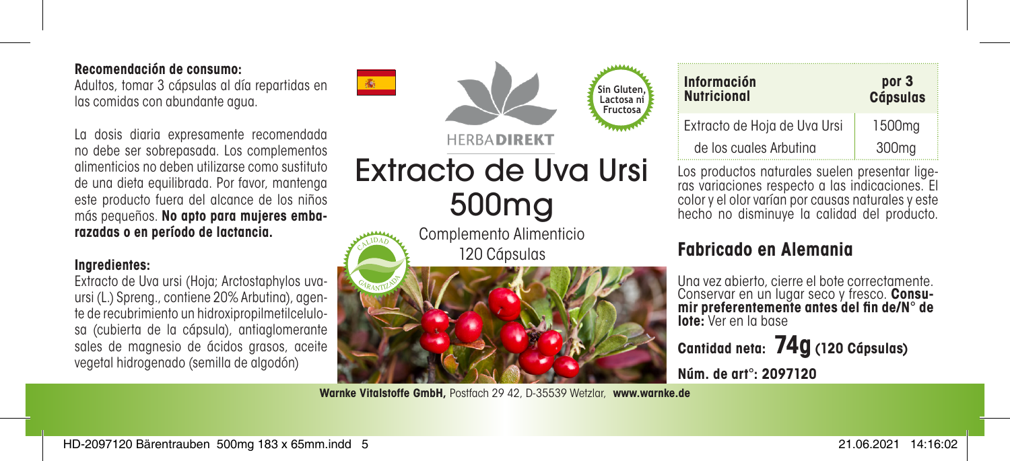### Recomendación de consumo:

Adultos, tomar 3 cápsulas al día repartidas en las comidas con abundante agua.

La dosis diaria expresamente recomendada no debe ser sobrepasada. Los complementos alimenticios no deben utilizarse como sustituto de una dieta equilibrada. Por favor, mantenga este producto fuera del alcance de los niños más pequeños. No apto para mujeres embarazadas o en período de lactancia.

### Ingredientes:

Extracto de Uva ursi (Hoja; Arctostaphylos uvaursi (L.) Spreng., contiene 20% Arbutina), agente de recubrimiento un hidroxipropilmetilcelulosa (cubierta de la cápsula), antiaglomerante sales de magnesio de ácidos grasos, aceite vegetal hidrogenado (semilla de algodón)



Complemento Alimenticio<br>120 Cánsulas **Fabricado en Alemania** 120 Cápsulas

CALIDA<sup>D</sup>



| Información<br><b>Nutricional</b> | por 3<br><b>Cápsulas</b> |
|-----------------------------------|--------------------------|
| Extracto de Hoja de Uva Ursi      | 1500 <sub>ma</sub>       |
| de los cuales Arbutina            | 300 <sub>mg</sub>        |

Los productos naturales suelen presentar ligeras variaciones respecto a las indicaciones. El color y el olor varían por causas naturales y este hecho no disminuve la calidad del producto.

Una vez abierto, cierre el bote correctamente. Conservar en un lugar seco y fresco. Consu- mir preferentemente antes del fin de/N° de lote: Ver en la base

Cantidad neta: 74g (120 Cápsulas)

Núm. de art°: 2097120

Warnke Vitalstoffe GmbH, Postfach 29 42, D-35539 Wetzlar, www.warnke.de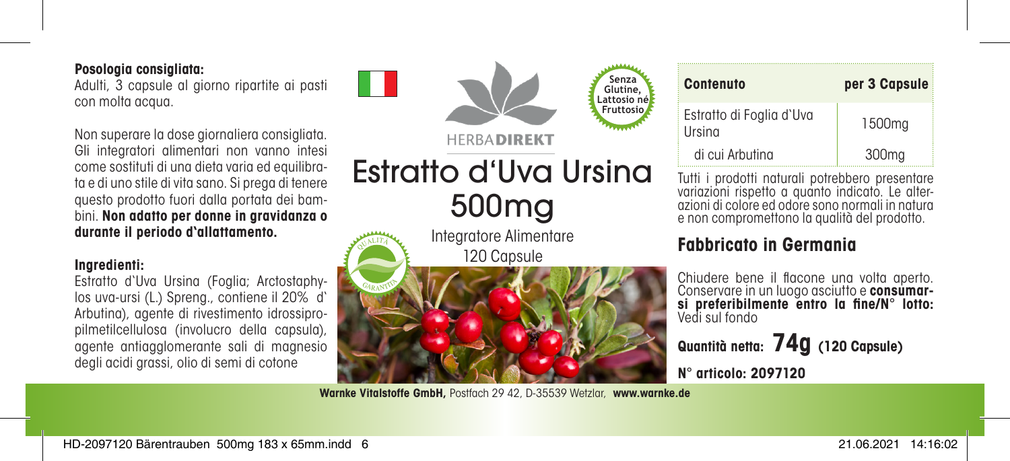#### Posologia consigliata:

Adulti, 3 capsule al giorno ripartite ai pasti con molta acqua.

Non superare la dose giornaliera consigliata. Gli integratori alimentari non vanno intesi come sostituti di una dieta varia ed equilibrata e di uno stile di vita sano. Si prega di tenere questo prodotto fuori dalla portata dei bambini. Non adatto per donne in gravidanza o durante il periodo d'allattamento.

#### Ingredienti:

Estratto d'Uva Ursina (Foglia; Arctostaphylos uva-ursi (L.) Spreng., contiene il 20% d' Arbutina), agente di rivestimento idrossipropilmetilcellulosa (involucro della capsula), agente antiagglomerante sali di magnesio degli acidi grassi, olio di semi di cotone

# QUALIT<sup>À</sup> **GARANTI** Integratore Alimentare<br> **Fabbricato in Germania** 120 Capsule 500mg

H.



| <b>Contenuto</b>                   | per 3 Capsule     |
|------------------------------------|-------------------|
| Estratto di Foglia d'Uva<br>Ursina | 1500ma            |
| di cui Arbutina                    | 300 <sub>mg</sub> |

Tutti i prodotti naturali potrebbero presentare variazioni rispetto a quanto indicato. Le alter- azioni di colore ed odore sono normali in natura e non compromettono la qualità del prodotto.

Chiudere bene il flacone una volta aperto.<br>Conservare in un luogo asciutto e consumarsi preferibilmente entro la fine/N° lotto: Vedi sul fondo

Quantità netta: 74g (120 Capsule)

N° articolo: 2097120

Warnke Vitalstoffe GmbH, Postfach 29 42, D-35539 Wetzlar, www.warnke.de

Estratto d'Uva Ursina

**HFRRADIREKT**